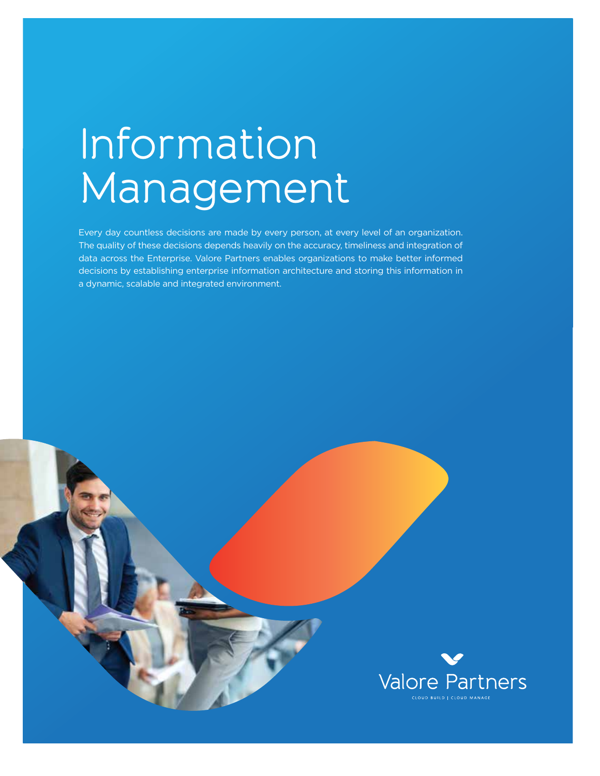## Information Management

Every day countless decisions are made by every person, at every level of an organization. The quality of these decisions depends heavily on the accuracy, timeliness and integration of data across the Enterprise. Valore Partners enables organizations to make better informed decisions by establishing enterprise information architecture and storing this information in a dynamic, scalable and integrated environment.